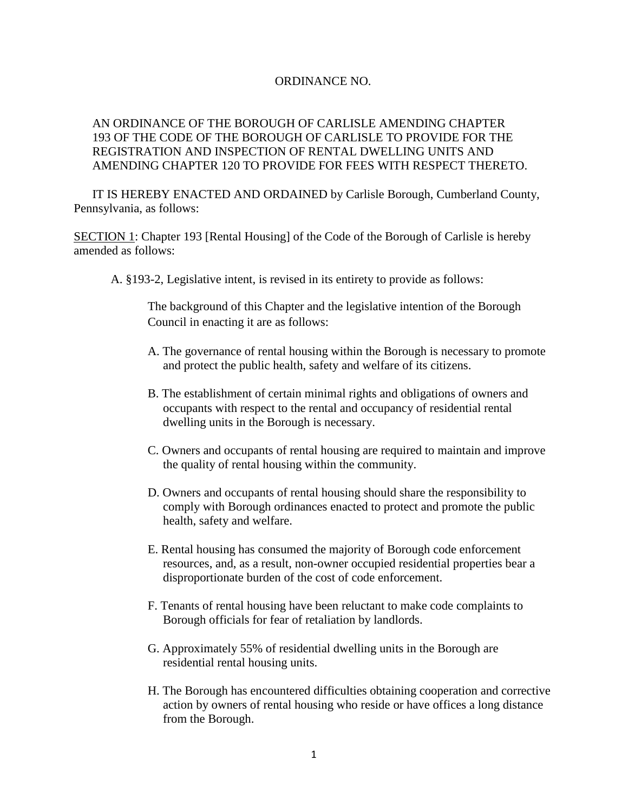#### ORDINANCE NO.

## AN ORDINANCE OF THE BOROUGH OF CARLISLE AMENDING CHAPTER 193 OF THE CODE OF THE BOROUGH OF CARLISLE TO PROVIDE FOR THE REGISTRATION AND INSPECTION OF RENTAL DWELLING UNITS AND AMENDING CHAPTER 120 TO PROVIDE FOR FEES WITH RESPECT THERETO.

IT IS HEREBY ENACTED AND ORDAINED by Carlisle Borough, Cumberland County, Pennsylvania, as follows:

SECTION 1: Chapter 193 [Rental Housing] of the Code of the Borough of Carlisle is hereby amended as follows:

A. §193-2, Legislative intent, is revised in its entirety to provide as follows:

The background of this Chapter and the legislative intention of the Borough Council in enacting it are as follows:

- [A.](https://www.ecode360.com/print/16062738#16062738) The governance of rental housing within the Borough is necessary to promote and protect the public health, safety and welfare of its citizens.
- B. The establishment of certain minimal rights and obligations of owners and occupants with respect to the rental and occupancy of residential rental dwelling units in the Borough is necessary.
- [C.](https://www.ecode360.com/print/16062740#16062740) Owners and occupants of rental housing are required to maintain and improve the quality of rental housing within the community.
- [D. O](https://www.ecode360.com/print/16062741#16062741)wners and occupants of rental housing should share the responsibility to comply with Borough ordinances enacted to protect and promote the public health, safety and welfare.
- [E. R](https://www.ecode360.com/print/16062744#16062744)ental housing has consumed the majority of Borough code enforcement resources, and, as a result, non-owner occupied residential properties bear a disproportionate burden of the cost of code enforcement.
- [F. T](https://www.ecode360.com/print/16062745#16062745)enants of rental housing have been reluctant to make code complaints to Borough officials for fear of retaliation by landlords.
- [G. A](https://www.ecode360.com/print/16062746#16062746)pproximately 55% of residential dwelling units in the Borough are residential rental housing units.
- [H. T](https://www.ecode360.com/print/16062747#16062747)he Borough has encountered difficulties obtaining cooperation and corrective action by owners of rental housing who reside or have offices a long distance from the Borough.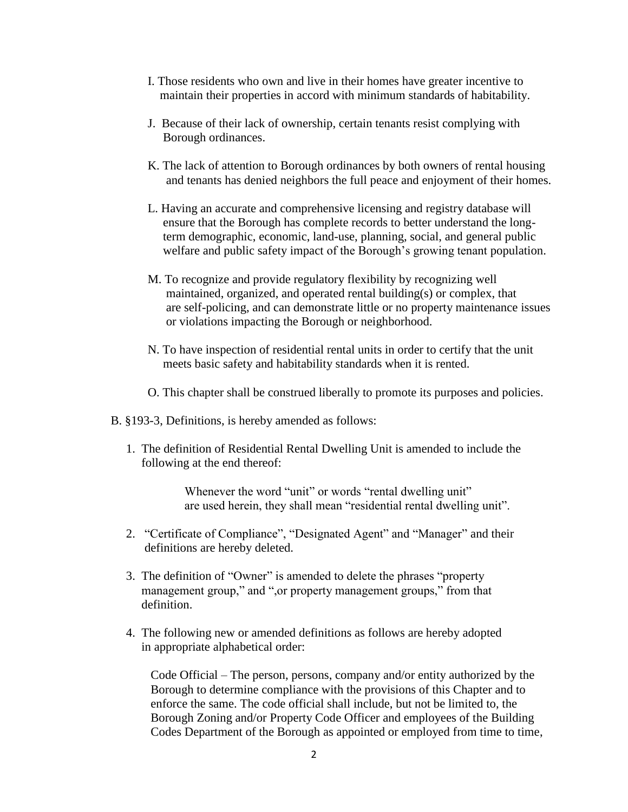- [I.](https://www.ecode360.com/print/16062748#16062748) Those residents who own and live in their homes have greater incentive to maintain their properties in accord with minimum standards of habitability.
- [J. B](https://www.ecode360.com/print/16062749#16062749)ecause of their lack of ownership, certain tenants resist complying with Borough ordinances.
- [K.](https://www.ecode360.com/print/16062750#16062750) The lack of attention to Borough ordinances by both owners of rental housing and tenants has denied neighbors the full peace and enjoyment of their homes.
- L. Having an accurate and comprehensive licensing and registry database will ensure that the Borough has complete records to better understand the long term demographic, economic, land-use, planning, social, and general public welfare and public safety impact of the Borough's growing tenant population.
- M. To recognize and provide regulatory flexibility by recognizing well maintained, organized, and operated rental building(s) or complex, that are self-policing, and can demonstrate little or no property maintenance issues or violations impacting the Borough or neighborhood.
- N. To have inspection of residential rental units in order to certify that the unit meets basic safety and habitability standards when it is rented.
- O. This chapter shall be construed liberally to promote its purposes and policies.
- B. §193-3, Definitions, is hereby amended as follows:
	- 1. The definition of Residential Rental Dwelling Unit is amended to include the following at the end thereof:

Whenever the word "unit" or words "rental dwelling unit" are used herein, they shall mean "residential rental dwelling unit".

- 2. "Certificate of Compliance", "Designated Agent" and "Manager" and their definitions are hereby deleted.
- 3. The definition of "Owner" is amended to delete the phrases "property management group," and ", or property management groups," from that definition.
- 4. The following new or amended definitions as follows are hereby adopted in appropriate alphabetical order:

 Code Official – The person, persons, company and/or entity authorized by the Borough to determine compliance with the provisions of this Chapter and to enforce the same. The code official shall include, but not be limited to, the Borough Zoning and/or Property Code Officer and employees of the Building Codes Department of the Borough as appointed or employed from time to time,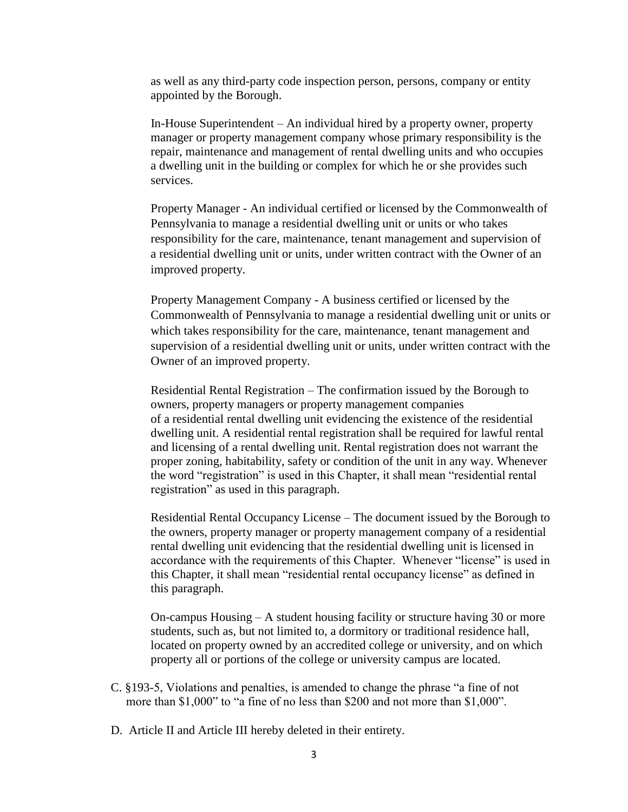as well as any third-party code inspection person, persons, company or entity appointed by the Borough.

In-House Superintendent – An individual hired by a property owner, property manager or property management company whose primary responsibility is the repair, maintenance and management of rental dwelling units and who occupies a dwelling unit in the building or complex for which he or she provides such services.

 Property Manager - An individual certified or licensed by the Commonwealth of Pennsylvania to manage a residential dwelling unit or units or who takes responsibility for the care, maintenance, tenant management and supervision of a residential dwelling unit or units, under written contract with the Owner of an improved property.

 Property Management Company - A business certified or licensed by the Commonwealth of Pennsylvania to manage a residential dwelling unit or units or which takes responsibility for the care, maintenance, tenant management and supervision of a residential dwelling unit or units, under written contract with the Owner of an improved property.

Residential Rental Registration – The confirmation issued by the Borough to owners, property managers or property management companies of a residential rental dwelling unit evidencing the existence of the residential dwelling unit. A residential rental registration shall be required for lawful rental and licensing of a rental dwelling unit. Rental registration does not warrant the proper zoning, habitability, safety or condition of the unit in any way. Whenever the word "registration" is used in this Chapter, it shall mean "residential rental registration" as used in this paragraph.

Residential Rental Occupancy License – The document issued by the Borough to the owners, property manager or property management company of a residential rental dwelling unit evidencing that the residential dwelling unit is licensed in accordance with the requirements of this Chapter. Whenever "license" is used in this Chapter, it shall mean "residential rental occupancy license" as defined in this paragraph.

 On-campus Housing – A student housing facility or structure having 30 or more students, such as, but not limited to, a dormitory or traditional residence hall, located on property owned by an accredited college or university, and on which property all or portions of the college or university campus are located.

- C. §193-5, Violations and penalties, is amended to change the phrase "a fine of not more than \$1,000" to "a fine of no less than \$200 and not more than \$1,000".
- D. Article II and Article III hereby deleted in their entirety.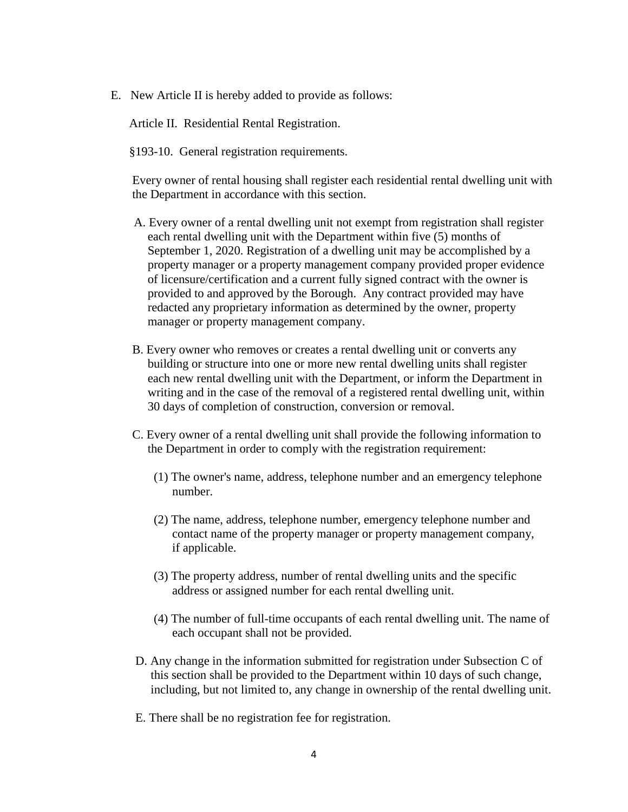E. New Article II is hereby added to provide as follows:

Article II. Residential Rental Registration.

§193-10. General registration requirements.

 Every owner of rental housing shall register each residential rental dwelling unit with the Department in accordance with this section.

- [A.](https://www.ecode360.com/print/16062789#16062789) Every owner of a rental dwelling unit not exempt from registration shall register each rental dwelling unit with the Department within five (5) months of September 1, 2020. Registration of a dwelling unit may be accomplished by a property manager or a property management company provided proper evidence of licensure/certification and a current fully signed contract with the owner is provided to and approved by the Borough. Any contract provided may have redacted any proprietary information as determined by the owner, property manager or property management company.
- [B.](https://www.ecode360.com/print/16062790#16062790) Every owner who removes or creates a rental dwelling unit or converts any building or structure into one or more new rental dwelling units shall register each new rental dwelling unit with the Department, or inform the Department in writing and in the case of the removal of a registered rental dwelling unit, within 30 days of completion of construction, conversion or removal.
- [C.](https://www.ecode360.com/print/16062791#16062791) Every owner of a rental dwelling unit shall provide the following information to the Department in order to comply with the registration requirement:
	- [\(1\)](https://www.ecode360.com/print/16062792#16062792) The owner's name, address, telephone number and an emergency telephone number.
	- [\(2\)](https://www.ecode360.com/print/16062793#16062793) The name, address, telephone number, emergency telephone number and contact name of the property manager or property management company, if applicable.
	- [\(3\)](https://www.ecode360.com/print/16062794#16062794) The property address, number of rental dwelling units and the specific address or assigned number for each rental dwelling unit.
	- [\(4\)](https://www.ecode360.com/print/16062795#16062795) The number of full-time occupants of each rental dwelling unit. The name of each occupant shall not be provided.
- [D.](https://www.ecode360.com/print/16062797#16062797) Any change in the information submitted for registration under Subsection [C](https://www.ecode360.com/print/16062791#16062791) of this section shall be provided to the Department within 10 days of such change, including, but not limited to, any change in ownership of the rental dwelling unit.
- [E.](https://www.ecode360.com/print/16062798#16062798) There shall be no registration fee for registration.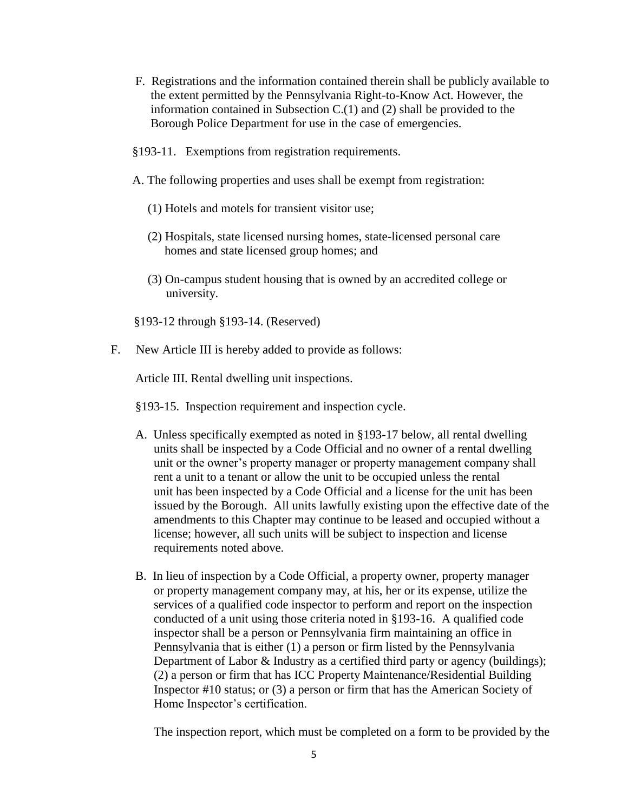- [F.](https://www.ecode360.com/print/16062799#16062799) Registrations and the information contained therein shall be publicly available to the extent permitted by the Pennsylvania Right-to-Know Act. However, the information contained in Subsection C.(1) and (2) shall be provided to the Borough Police Department for use in the case of emergencies.
- §193-11. Exemptions from registration requirements.
- A. The following properties and uses shall be exempt from registration:
	- (1) Hotels and motels for transient visitor use;
	- (2) Hospitals, state licensed nursing homes, state-licensed personal care homes and state licensed group homes; and
	- (3) On-campus student housing that is owned by an accredited college or university.
- §193-12 through §193-14. (Reserved)
- F. New Article III is hereby added to provide as follows:

Article III. Rental dwelling unit inspections.

- §193-15. Inspection requirement and inspection cycle.
- A. Unless specifically exempted as noted in §193-17 below, all rental dwelling units shall be inspected by a Code Official and no owner of a rental dwelling unit or the owner's property manager or property management company shall rent a unit to a tenant or allow the unit to be occupied unless the rental unit has been inspected by a Code Official and a license for the unit has been issued by the Borough. All units lawfully existing upon the effective date of the amendments to this Chapter may continue to be leased and occupied without a license; however, all such units will be subject to inspection and license requirements noted above.
- B. In lieu of inspection by a Code Official, a property owner, property manager or property management company may, at his, her or its expense, utilize the services of a qualified code inspector to perform and report on the inspection conducted of a unit using those criteria noted in §193-16. A qualified code inspector shall be a person or Pennsylvania firm maintaining an office in Pennsylvania that is either (1) a person or firm listed by the Pennsylvania Department of Labor & Industry as a certified third party or agency (buildings); (2) a person or firm that has ICC Property Maintenance/Residential Building Inspector #10 status; or (3) a person or firm that has the American Society of Home Inspector's certification.

The inspection report, which must be completed on a form to be provided by the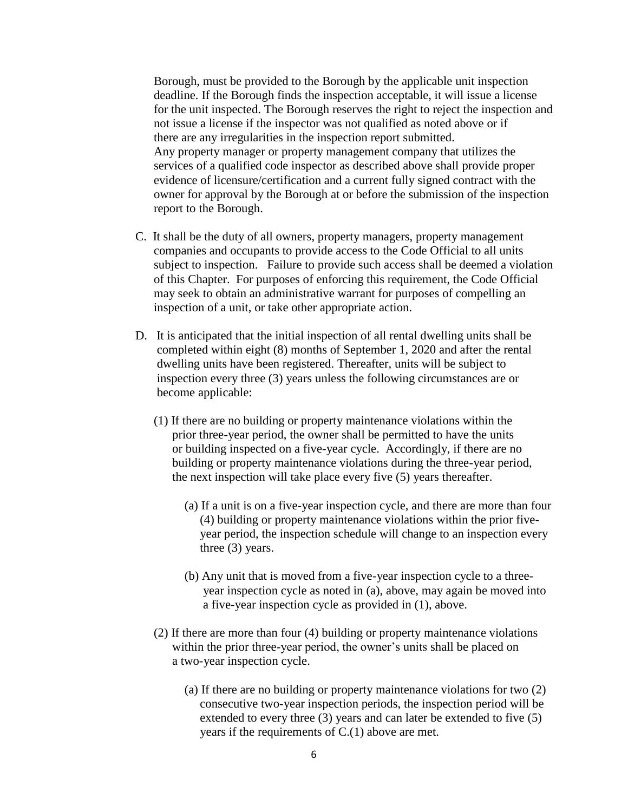Borough, must be provided to the Borough by the applicable unit inspection deadline. If the Borough finds the inspection acceptable, it will issue a license for the unit inspected. The Borough reserves the right to reject the inspection and not issue a license if the inspector was not qualified as noted above or if there are any irregularities in the inspection report submitted. Any property manager or property management company that utilizes the services of a qualified code inspector as described above shall provide proper evidence of licensure/certification and a current fully signed contract with the owner for approval by the Borough at or before the submission of the inspection report to the Borough.

- C. It shall be the duty of all owners, property managers, property management companies and occupants to provide access to the Code Official to all units subject to inspection. Failure to provide such access shall be deemed a violation of this Chapter. For purposes of enforcing this requirement, the Code Official may seek to obtain an administrative warrant for purposes of compelling an inspection of a unit, or take other appropriate action.
- D. It is anticipated that the initial inspection of all rental dwelling units shall be completed within eight (8) months of September 1, 2020 and after the rental dwelling units have been registered. Thereafter, units will be subject to inspection every three (3) years unless the following circumstances are or become applicable:
	- (1) If there are no building or property maintenance violations within the prior three-year period, the owner shall be permitted to have the units or building inspected on a five-year cycle. Accordingly, if there are no building or property maintenance violations during the three-year period, the next inspection will take place every five (5) years thereafter.
		- (a) If a unit is on a five-year inspection cycle, and there are more than four (4) building or property maintenance violations within the prior five year period, the inspection schedule will change to an inspection every three (3) years.
		- (b) Any unit that is moved from a five-year inspection cycle to a three year inspection cycle as noted in (a), above, may again be moved into a five-year inspection cycle as provided in (1), above.
	- (2) If there are more than four (4) building or property maintenance violations within the prior three-year period, the owner's units shall be placed on a two-year inspection cycle.
		- (a) If there are no building or property maintenance violations for two (2) consecutive two-year inspection periods, the inspection period will be extended to every three (3) years and can later be extended to five (5) years if the requirements of C.(1) above are met.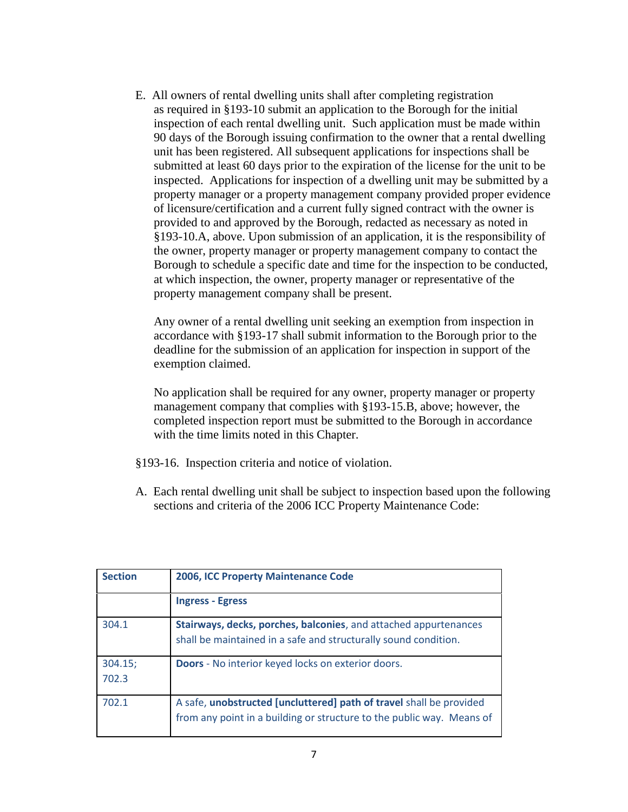E. All owners of rental dwelling units shall after completing registration as required in §193-10 submit an application to the Borough for the initial inspection of each rental dwelling unit. Such application must be made within 90 days of the Borough issuing confirmation to the owner that a rental dwelling unit has been registered. All subsequent applications for inspections shall be submitted at least 60 days prior to the expiration of the license for the unit to be inspected. Applications for inspection of a dwelling unit may be submitted by a property manager or a property management company provided proper evidence of licensure/certification and a current fully signed contract with the owner is provided to and approved by the Borough, redacted as necessary as noted in §193-10.A, above. Upon submission of an application, it is the responsibility of the owner, property manager or property management company to contact the Borough to schedule a specific date and time for the inspection to be conducted, at which inspection, the owner, property manager or representative of the property management company shall be present.

 Any owner of a rental dwelling unit seeking an exemption from inspection in accordance with §193-17 shall submit information to the Borough prior to the deadline for the submission of an application for inspection in support of the exemption claimed.

 No application shall be required for any owner, property manager or property management company that complies with §193-15.B, above; however, the completed inspection report must be submitted to the Borough in accordance with the time limits noted in this Chapter.

- §193-16. Inspection criteria and notice of violation.
- A. Each rental dwelling unit shall be subject to inspection based upon the following sections and criteria of the 2006 ICC Property Maintenance Code:

| <b>Section</b>   | 2006, ICC Property Maintenance Code                                                                                                          |
|------------------|----------------------------------------------------------------------------------------------------------------------------------------------|
|                  | <b>Ingress - Egress</b>                                                                                                                      |
| 304.1            | Stairways, decks, porches, balconies, and attached appurtenances<br>shall be maintained in a safe and structurally sound condition.          |
| 304.15;<br>702.3 | <b>Doors</b> - No interior keyed locks on exterior doors.                                                                                    |
| 702.1            | A safe, unobstructed [uncluttered] path of travel shall be provided<br>from any point in a building or structure to the public way. Means of |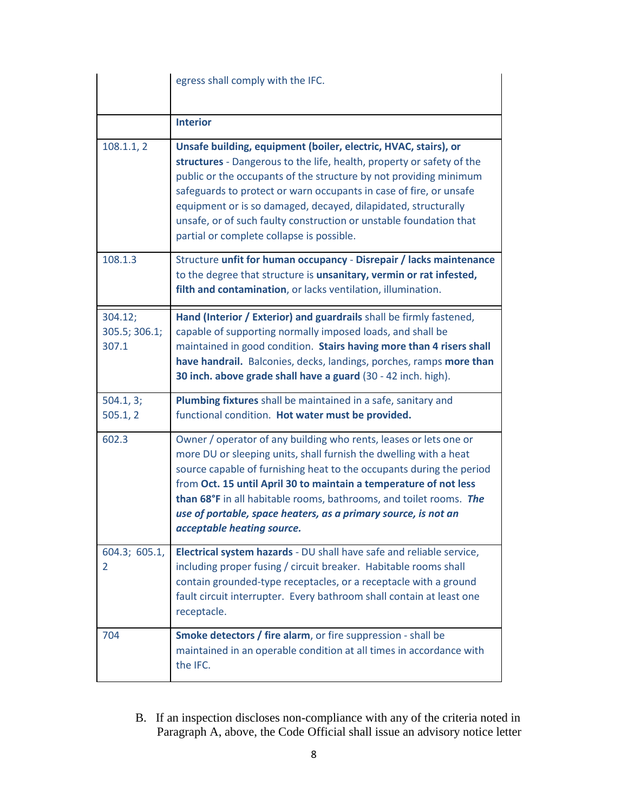|                                   | egress shall comply with the IFC.                                                                                                                                                                                                                                                                                                                                                                                                                                        |
|-----------------------------------|--------------------------------------------------------------------------------------------------------------------------------------------------------------------------------------------------------------------------------------------------------------------------------------------------------------------------------------------------------------------------------------------------------------------------------------------------------------------------|
|                                   | <b>Interior</b>                                                                                                                                                                                                                                                                                                                                                                                                                                                          |
| 108.1.1, 2                        | Unsafe building, equipment (boiler, electric, HVAC, stairs), or<br>structures - Dangerous to the life, health, property or safety of the<br>public or the occupants of the structure by not providing minimum<br>safeguards to protect or warn occupants in case of fire, or unsafe<br>equipment or is so damaged, decayed, dilapidated, structurally<br>unsafe, or of such faulty construction or unstable foundation that<br>partial or complete collapse is possible. |
| 108.1.3                           | Structure unfit for human occupancy - Disrepair / lacks maintenance<br>to the degree that structure is unsanitary, vermin or rat infested,<br>filth and contamination, or lacks ventilation, illumination.                                                                                                                                                                                                                                                               |
| 304.12;<br>305.5; 306.1;<br>307.1 | Hand (Interior / Exterior) and guardrails shall be firmly fastened,<br>capable of supporting normally imposed loads, and shall be<br>maintained in good condition. Stairs having more than 4 risers shall<br>have handrail. Balconies, decks, landings, porches, ramps more than<br>30 inch. above grade shall have a guard (30 - 42 inch. high).                                                                                                                        |
| 504.1, 3;<br>505.1, 2             | Plumbing fixtures shall be maintained in a safe, sanitary and<br>functional condition. Hot water must be provided.                                                                                                                                                                                                                                                                                                                                                       |
| 602.3                             | Owner / operator of any building who rents, leases or lets one or<br>more DU or sleeping units, shall furnish the dwelling with a heat<br>source capable of furnishing heat to the occupants during the period<br>from Oct. 15 until April 30 to maintain a temperature of not less<br>than 68°F in all habitable rooms, bathrooms, and toilet rooms. The<br>use of portable, space heaters, as a primary source, is not an<br>acceptable heating source.                |
| 604.3; 605.1,<br>2                | Electrical system hazards - DU shall have safe and reliable service,<br>including proper fusing / circuit breaker. Habitable rooms shall<br>contain grounded-type receptacles, or a receptacle with a ground<br>fault circuit interrupter. Every bathroom shall contain at least one<br>receptacle.                                                                                                                                                                      |
| 704                               | Smoke detectors / fire alarm, or fire suppression - shall be<br>maintained in an operable condition at all times in accordance with<br>the IFC.                                                                                                                                                                                                                                                                                                                          |

 B. If an inspection discloses non-compliance with any of the criteria noted in Paragraph A, above, the Code Official shall issue an advisory notice letter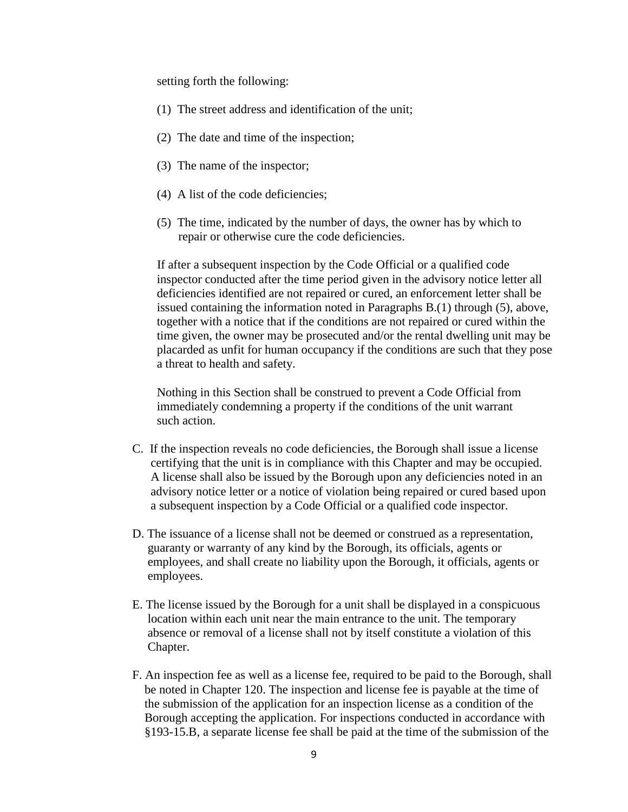setting forth the following:

- (1) The street address and identification of the unit;
- (2) The date and time of the inspection;
- (3) The name of the inspector;
- (4) A list of the code deficiencies;
- (5) The time, indicated by the number of days, the owner has by which to repair or otherwise cure the code deficiencies.

 If after a subsequent inspection by the Code Official or a qualified code inspector conducted after the time period given in the advisory notice letter all deficiencies identified are not repaired or cured, an enforcement letter shall be issued containing the information noted in Paragraphs B.(1) through (5), above, together with a notice that if the conditions are not repaired or cured within the time given, the owner may be prosecuted and/or the rental dwelling unit may be placarded as unfit for human occupancy if the conditions are such that they pose a threat to health and safety.

 Nothing in this Section shall be construed to prevent a Code Official from immediately condemning a property if the conditions of the unit warrant such action.

- C. If the inspection reveals no code deficiencies, the Borough shall issue a license certifying that the unit is in compliance with this Chapter and may be occupied. A license shall also be issued by the Borough upon any deficiencies noted in an advisory notice letter or a notice of violation being repaired or cured based upon a subsequent inspection by a Code Official or a qualified code inspector.
- D. The issuance of a license shall not be deemed or construed as a representation, guaranty or warranty of any kind by the Borough, its officials, agents or employees, and shall create no liability upon the Borough, it officials, agents or employees.
- E. The license issued by the Borough for a unit shall be displayed in a conspicuous location within each unit near the main entrance to the unit. The temporary absence or removal of a license shall not by itself constitute a violation of this Chapter.
- F. An inspection fee as well as a license fee, required to be paid to the Borough, shall be noted in Chapter 120. The inspection and license fee is payable at the time of the submission of the application for an inspection license as a condition of the Borough accepting the application. For inspections conducted in accordance with §193-15.B, a separate license fee shall be paid at the time of the submission of the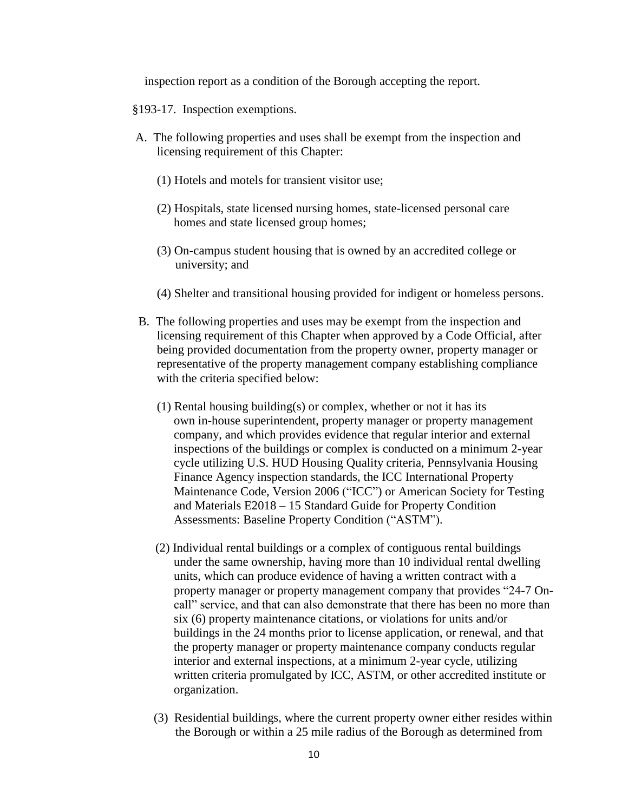inspection report as a condition of the Borough accepting the report.

- §193-17. Inspection exemptions.
- A. The following properties and uses shall be exempt from the inspection and licensing requirement of this Chapter:
	- (1) Hotels and motels for transient visitor use;
	- (2) Hospitals, state licensed nursing homes, state-licensed personal care homes and state licensed group homes;
	- (3) On-campus student housing that is owned by an accredited college or university; and
	- (4) Shelter and transitional housing provided for indigent or homeless persons.
- B. The following properties and uses may be exempt from the inspection and licensing requirement of this Chapter when approved by a Code Official, after being provided documentation from the property owner, property manager or representative of the property management company establishing compliance with the criteria specified below:
	- (1) Rental housing building(s) or complex, whether or not it has its own in-house superintendent, property manager or property management company, and which provides evidence that regular interior and external inspections of the buildings or complex is conducted on a minimum 2-year cycle utilizing U.S. HUD Housing Quality criteria, Pennsylvania Housing Finance Agency inspection standards, the ICC International Property Maintenance Code, Version 2006 ("ICC") or American Society for Testing and Materials E2018 – 15 Standard Guide for Property Condition Assessments: Baseline Property Condition ("ASTM").
	- (2) Individual rental buildings or a complex of contiguous rental buildings under the same ownership, having more than 10 individual rental dwelling units, which can produce evidence of having a written contract with a property manager or property management company that provides "24-7 On call" service, and that can also demonstrate that there has been no more than six (6) property maintenance citations, or violations for units and/or buildings in the 24 months prior to license application, or renewal, and that the property manager or property maintenance company conducts regular interior and external inspections, at a minimum 2-year cycle, utilizing written criteria promulgated by ICC, ASTM, or other accredited institute or organization.
	- (3) Residential buildings, where the current property owner either resides within the Borough or within a 25 mile radius of the Borough as determined from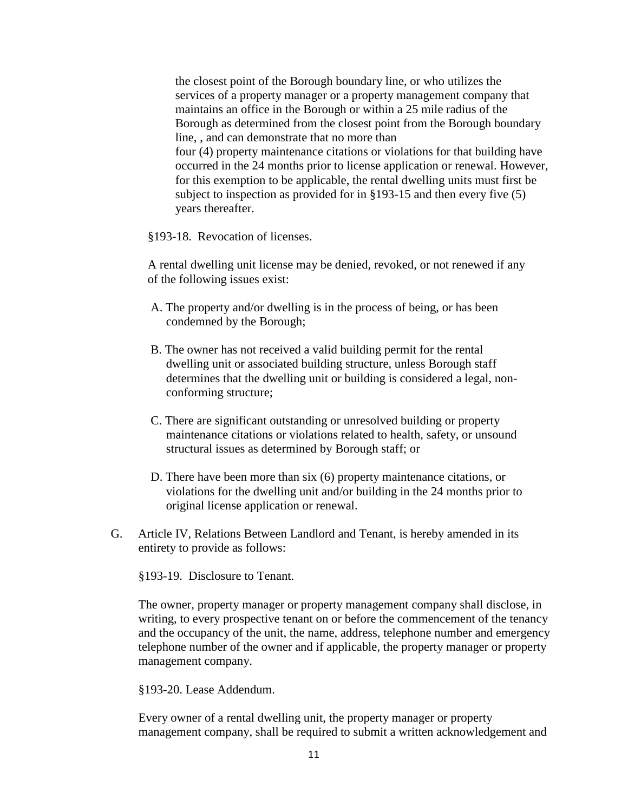the closest point of the Borough boundary line, or who utilizes the services of a property manager or a property management company that maintains an office in the Borough or within a 25 mile radius of the Borough as determined from the closest point from the Borough boundary line, , and can demonstrate that no more than four (4) property maintenance citations or violations for that building have occurred in the 24 months prior to license application or renewal. However, for this exemption to be applicable, the rental dwelling units must first be subject to inspection as provided for in §193-15 and then every five (5) years thereafter.

§193-18. Revocation of licenses.

A rental dwelling unit license may be denied, revoked, or not renewed if any of the following issues exist:

- A. The property and/or dwelling is in the process of being, or has been condemned by the Borough;
- B. The owner has not received a valid building permit for the rental dwelling unit or associated building structure, unless Borough staff determines that the dwelling unit or building is considered a legal, non conforming structure;
- C. There are significant outstanding or unresolved building or property maintenance citations or violations related to health, safety, or unsound structural issues as determined by Borough staff; or
- D. There have been more than six (6) property maintenance citations, or violations for the dwelling unit and/or building in the 24 months prior to original license application or renewal.
- G. Article IV, Relations Between Landlord and Tenant, is hereby amended in its entirety to provide as follows:

§193-19. Disclosure to Tenant.

 The owner, property manager or property management company shall disclose, in writing, to every prospective tenant on or before the commencement of the tenancy and the occupancy of the unit, the name, address, telephone number and emergency telephone number of the owner and if applicable, the property manager or property management company.

§193-20. Lease Addendum.

 Every owner of a rental dwelling unit, the property manager or property management company, shall be required to submit a written acknowledgement and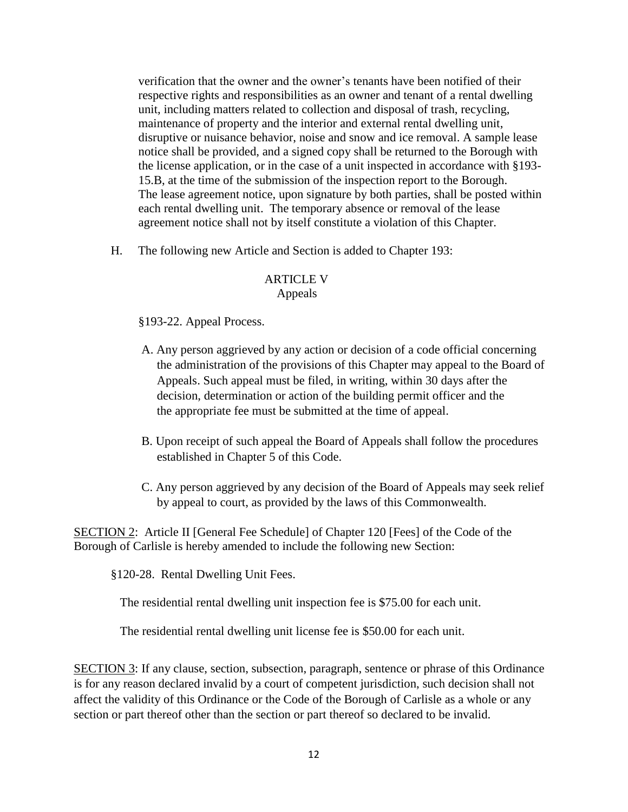verification that the owner and the owner's tenants have been notified of their respective rights and responsibilities as an owner and tenant of a rental dwelling unit, including matters related to collection and disposal of trash, recycling, maintenance of property and the interior and external rental dwelling unit, disruptive or nuisance behavior, noise and snow and ice removal. A sample lease notice shall be provided, and a signed copy shall be returned to the Borough with the license application, or in the case of a unit inspected in accordance with §193- 15.B, at the time of the submission of the inspection report to the Borough. The lease agreement notice, upon signature by both parties, shall be posted within each rental dwelling unit. The temporary absence or removal of the lease agreement notice shall not by itself constitute a violation of this Chapter.

H. The following new Article and Section is added to Chapter 193:

### ARTICLE V Appeals

### §193-22. Appeal Process.

- A. Any person aggrieved by any action or decision of a code official concerning the administration of the provisions of this Chapter may appeal to the Board of Appeals. Such appeal must be filed, in writing, within 30 days after the decision, determination or action of the building permit officer and the the appropriate fee must be submitted at the time of appeal.
- [B.](https://www.ecode360.com/print/12769424#12769424) Upon receipt of such appeal the Board of Appeals shall follow the procedures established in Chapter [5](https://www.ecode360.com/print/10680486#10680486) of this Code.
- [C.](https://www.ecode360.com/print/12769425#12769425) Any person aggrieved by any decision of the Board of Appeals may seek relief by appeal to court, as provided by the laws of this Commonwealth.

SECTION 2: Article II [General Fee Schedule] of Chapter 120 [Fees] of the Code of the Borough of Carlisle is hereby amended to include the following new Section:

§120-28. Rental Dwelling Unit Fees.

The residential rental dwelling unit inspection fee is \$75.00 for each unit.

The residential rental dwelling unit license fee is \$50.00 for each unit.

SECTION 3: If any clause, section, subsection, paragraph, sentence or phrase of this Ordinance is for any reason declared invalid by a court of competent jurisdiction, such decision shall not affect the validity of this Ordinance or the Code of the Borough of Carlisle as a whole or any section or part thereof other than the section or part thereof so declared to be invalid.